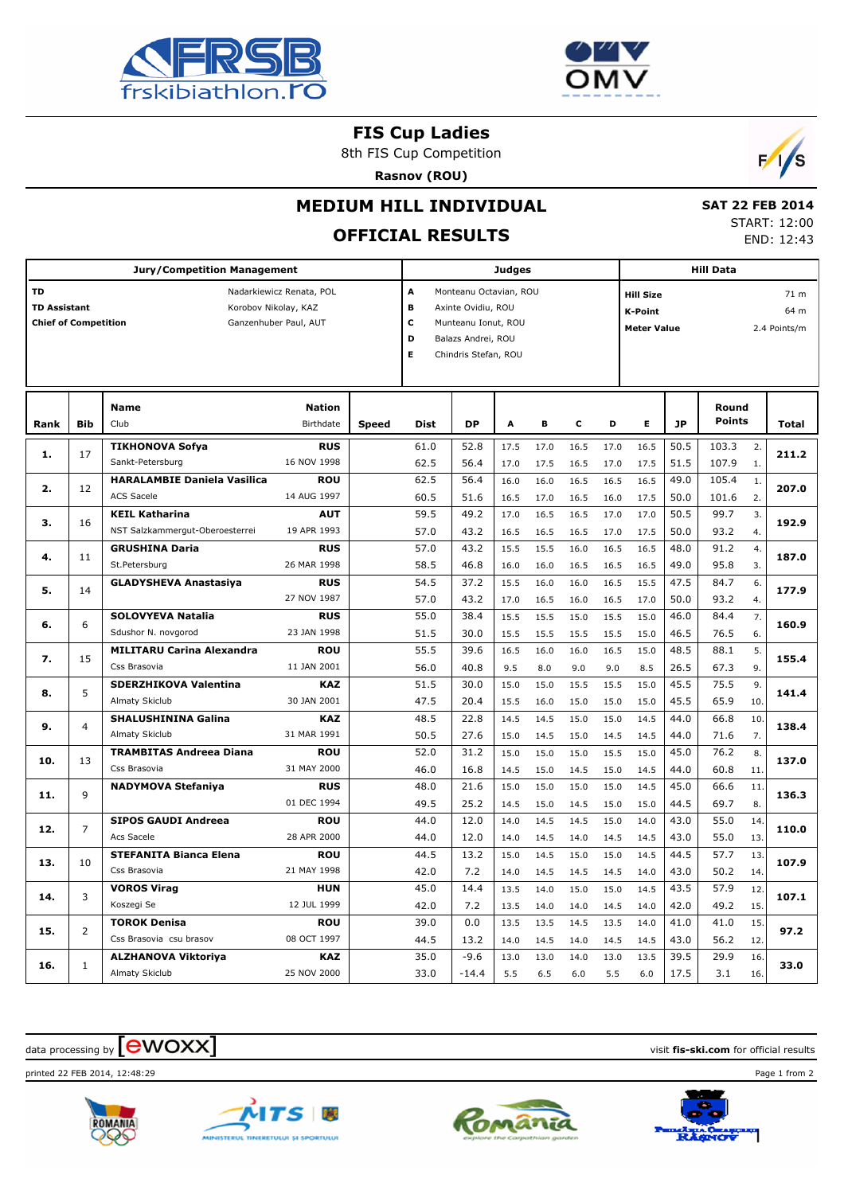



#### **FIS Cup Ladies**

8th FIS Cup Competition





# **MEDIUM HILL INDIVIDUAL**

# **OFFICIAL RESULTS**

 **SAT 22 FEB 2014** START: 12:00 END: 12:43

|                     |                                                      | <b>Jury/Competition Management</b> |                          | <b>Judges</b> |                             |           |                      |      |      | <b>Hill Data</b> |                          |           |               |                |              |  |  |
|---------------------|------------------------------------------------------|------------------------------------|--------------------------|---------------|-----------------------------|-----------|----------------------|------|------|------------------|--------------------------|-----------|---------------|----------------|--------------|--|--|
| <b>TD</b>           |                                                      |                                    | Nadarkiewicz Renata, POL |               | A<br>Monteanu Octavian, ROU |           |                      |      |      |                  | <b>Hill Size</b><br>71 m |           |               |                |              |  |  |
| <b>TD Assistant</b> |                                                      | Korobov Nikolay, KAZ               |                          |               | в<br>Axinte Ovidiu, ROU     |           |                      |      |      |                  | <b>K-Point</b><br>64 m   |           |               |                |              |  |  |
|                     | <b>Chief of Competition</b><br>Ganzenhuber Paul, AUT |                                    |                          |               |                             |           | Munteanu Ionut, ROU  |      |      |                  | <b>Meter Value</b>       |           |               |                | 2.4 Points/m |  |  |
|                     |                                                      |                                    |                          |               |                             |           | Balazs Andrei, ROU   |      |      |                  |                          |           |               |                |              |  |  |
|                     |                                                      |                                    |                          |               |                             |           | Chindris Stefan, ROU |      |      |                  |                          |           |               |                |              |  |  |
|                     |                                                      |                                    |                          |               |                             |           |                      |      |      |                  |                          |           |               |                |              |  |  |
|                     |                                                      |                                    |                          |               |                             |           |                      |      |      |                  |                          |           |               |                |              |  |  |
|                     |                                                      | <b>Name</b>                        | <b>Nation</b>            |               |                             |           |                      |      |      |                  |                          |           | Round         |                |              |  |  |
| Rank                | <b>Bib</b>                                           | Club                               | Birthdate                | Speed         | Dist                        | <b>DP</b> | A                    | В    | C    | D                | E                        | <b>JP</b> | <b>Points</b> |                | Total        |  |  |
| 1.                  | 17                                                   | <b>TIKHONOVA Sofya</b>             | <b>RUS</b>               |               | 61.0                        | 52.8      | 17.5                 | 17.0 | 16.5 | 17.0             | 16.5                     | 50.5      | 103.3         | 2.             | 211.2        |  |  |
|                     |                                                      | Sankt-Petersburg                   | 16 NOV 1998              |               | 62.5                        | 56.4      | 17.0                 | 17.5 | 16.5 | 17.0             | 17.5                     | 51.5      | 107.9         | 1.             |              |  |  |
| 2.                  | 12                                                   | <b>HARALAMBIE Daniela Vasilica</b> | <b>ROU</b>               |               | 62.5                        | 56.4      | 16.0                 | 16.0 | 16.5 | 16.5             | 16.5                     | 49.0      | 105.4         | $\mathbf{1}$ . | 207.0        |  |  |
|                     |                                                      | <b>ACS Sacele</b>                  | 14 AUG 1997              |               | 60.5                        | 51.6      | 16.5                 | 17.0 | 16.5 | 16.0             | 17.5                     | 50.0      | 101.6         | 2.             |              |  |  |
| з.                  | 16                                                   | <b>KEIL Katharina</b>              | <b>AUT</b>               |               | 59.5                        | 49.2      | 17.0                 | 16.5 | 16.5 | 17.0             | 17.0                     | 50.5      | 99.7          | 3.             | 192.9        |  |  |
|                     |                                                      | NST Salzkammergut-Oberoesterrei    | 19 APR 1993              |               | 57.0                        | 43.2      | 16.5                 | 16.5 | 16.5 | 17.0             | 17.5                     | 50.0      | 93.2          | 4.             |              |  |  |
|                     | 4.<br>11                                             | <b>GRUSHINA Daria</b>              | <b>RUS</b>               |               | 57.0                        | 43.2      | 15.5                 | 15.5 | 16.0 | 16.5             | 16.5                     | 48.0      | 91.2          | 4.             | 187.0        |  |  |
|                     | St.Petersburg                                        | 26 MAR 1998                        |                          | 58.5          | 46.8                        | 16.0      | 16.0                 | 16.5 | 16.5 | 16.5             | 49.0                     | 95.8      | 3.            |                |              |  |  |
| 5.                  | 14                                                   | <b>GLADYSHEVA Anastasiya</b>       | <b>RUS</b>               |               | 54.5                        | 37.2      | 15.5                 | 16.0 | 16.0 | 16.5             | 15.5                     | 47.5      | 84.7          | 6.             | 177.9        |  |  |
|                     |                                                      |                                    | 27 NOV 1987              |               | 57.0                        | 43.2      | 17.0                 | 16.5 | 16.0 | 16.5             | 17.0                     | 50.0      | 93.2          | 4.             |              |  |  |
| 6.                  | 6                                                    | <b>SOLOVYEVA Natalia</b>           | <b>RUS</b>               |               | 55.0                        | 38.4      | 15.5                 | 15.5 | 15.0 | 15.5             | 15.0                     | 46.0      | 84.4          | 7.             | 160.9        |  |  |
|                     |                                                      | Sdushor N. novgorod                | 23 JAN 1998              |               | 51.5                        | 30.0      | 15.5                 | 15.5 | 15.5 | 15.5             | 15.0                     | 46.5      | 76.5          | 6.             |              |  |  |
| 7.                  | 15                                                   | <b>MILITARU Carina Alexandra</b>   | <b>ROU</b>               |               | 55.5                        | 39.6      | 16.5                 | 16.0 | 16.0 | 16.5             | 15.0                     | 48.5      | 88.1          | 5.             | 155.4        |  |  |
|                     |                                                      | Css Brasovia                       | 11 JAN 2001              |               | 56.0                        | 40.8      | 9.5                  | 8.0  | 9.0  | 9.0              | 8.5                      | 26.5      | 67.3          | 9.             |              |  |  |
| 8.                  | 5                                                    | <b>SDERZHIKOVA Valentina</b>       | <b>KAZ</b>               |               | 51.5                        | 30.0      | 15.0                 | 15.0 | 15.5 | 15.5             | 15.0                     | 45.5      | 75.5          | 9.             | 141.4        |  |  |
|                     |                                                      | Almaty Skiclub                     | 30 JAN 2001              |               | 47.5                        | 20.4      | 15.5                 | 16.0 | 15.0 | 15.0             | 15.0                     | 45.5      | 65.9          | 10.            |              |  |  |
| 9.                  | $\overline{4}$                                       | <b>SHALUSHININA Galina</b>         | <b>KAZ</b>               |               | 48.5                        | 22.8      | 14.5                 | 14.5 | 15.0 | 15.0             | 14.5                     | 44.0      | 66.8          | 10.            | 138.4        |  |  |
|                     |                                                      | Almaty Skiclub                     | 31 MAR 1991              |               | 50.5                        | 27.6      | 15.0                 | 14.5 | 15.0 | 14.5             | 14.5                     | 44.0      | 71.6          | 7.             |              |  |  |
| 10.                 | 13                                                   | <b>TRAMBITAS Andreea Diana</b>     | <b>ROU</b>               |               | 52.0                        | 31.2      | 15.0                 | 15.0 | 15.0 | 15.5             | 15.0                     | 45.0      | 76.2          | 8.             | 137.0        |  |  |
|                     |                                                      | Css Brasovia                       | 31 MAY 2000              |               | 46.0                        | 16.8      | 14.5                 | 15.0 | 14.5 | 15.0             | 14.5                     | 44.0      | 60.8          | 11.            |              |  |  |
| 11.                 | 9                                                    | <b>NADYMOVA Stefaniya</b>          | <b>RUS</b>               |               | 48.0                        | 21.6      | 15.0                 | 15.0 | 15.0 | 15.0             | 14.5                     | 45.0      | 66.6          | 11.            | 136.3        |  |  |
|                     |                                                      |                                    | 01 DEC 1994              |               | 49.5                        | 25.2      | 14.5                 | 15.0 | 14.5 | 15.0             | 15.0                     | 44.5      | 69.7          | 8.             |              |  |  |
| 12.                 | $\overline{7}$                                       | <b>SIPOS GAUDI Andreea</b>         | <b>ROU</b>               |               | 44.0                        | 12.0      | 14.0                 | 14.5 | 14.5 | 15.0             | 14.0                     | 43.0      | 55.0          | 14.            | 110.0        |  |  |
|                     |                                                      | Acs Sacele                         | 28 APR 2000              |               | 44.0                        | 12.0      | 14.0                 | 14.5 | 14.0 | 14.5             | 14.5                     | 43.0      | 55.0          | 13.            |              |  |  |
| 13.                 | 10                                                   | <b>STEFANITA Bianca Elena</b>      | <b>ROU</b>               |               | 44.5                        | 13.2      | 15.0                 | 14.5 | 15.0 | 15.0             | 14.5                     | 44.5      | 57.7          | 13.            | 107.9        |  |  |
|                     |                                                      | Css Brasovia                       | 21 MAY 1998              |               | 42.0                        | 7.2       | 14.0                 | 14.5 | 14.5 | 14.5             | 14.0                     | 43.0      | 50.2          | 14.            |              |  |  |
| 14.                 | 3                                                    | <b>VOROS Virag</b>                 | <b>HUN</b>               |               | 45.0                        | 14.4      | 13.5                 | 14.0 | 15.0 | 15.0             | 14.5                     | 43.5      | 57.9          | 12.            | 107.1        |  |  |
|                     |                                                      | Koszegi Se                         | 12 JUL 1999              |               | 42.0                        | 7.2       | 13.5                 | 14.0 | 14.0 | 14.5             | 14.0                     | 42.0      | 49.2          | 15.            |              |  |  |
| 15.                 | 2                                                    | <b>TOROK Denisa</b>                | <b>ROU</b>               |               | 39.0                        | 0.0       | 13.5                 | 13.5 | 14.5 | 13.5             | 14.0                     | 41.0      | 41.0          | 15.            | 97.2         |  |  |
|                     |                                                      | Css Brasovia csu brasov            | 08 OCT 1997              |               | 44.5                        | 13.2      | 14.0                 | 14.5 | 14.0 | 14.5             | 14.5                     | 43.0      | 56.2          | 12.            |              |  |  |
| 16.                 | 1                                                    | <b>ALZHANOVA Viktoriya</b>         | <b>KAZ</b>               |               | 35.0                        | $-9.6$    | 13.0                 | 13.0 | 14.0 | 13.0             | 13.5                     | 39.5      | 29.9          | 16.            | 33.0         |  |  |
|                     |                                                      | Almaty Skiclub                     | 25 NOV 2000              |               | 33.0                        | $-14.4$   | 5.5                  | 6.5  | 6.0  | 5.5              | 6.0                      | 17.5      | 3.1           | 16.            |              |  |  |

### data processing by **CWOXX** and  $\overline{A}$  and  $\overline{B}$  wisit **fis-ski.com** for official results

printed 22 FEB 2014, 12:48:29 Page 1 from 2